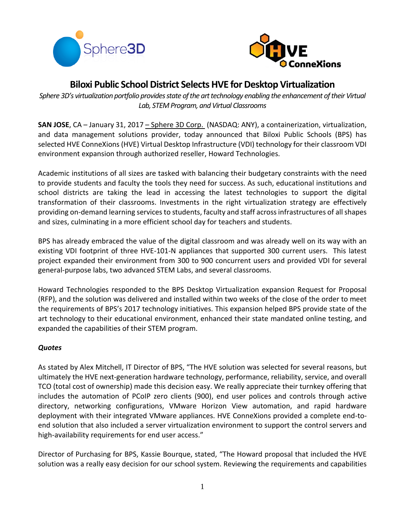



# **Biloxi Public School District Selects HVE for Desktop Virtualization**

*Sphere 3D's virtualization portfolio provides state of the art technology enabling the enhancement of their Virtual Lab, STEM Program, and Virtual Classrooms*

**SAN JOSE**, CA – January 31, 2017 – [Sphere](http://www.sphere3d.com/) 3D Corp. (NASDAQ: ANY), a containerization, virtualization, and data management solutions provider, today announced that Biloxi Public Schools (BPS) has selected HVE ConneXions (HVE) Virtual Desktop Infrastructure (VDI) technology for their classroom VDI environment expansion through authorized reseller, Howard Technologies.

Academic institutions of all sizes are tasked with balancing their budgetary constraints with the need to provide students and faculty the tools they need for success. As such, educational institutions and school districts are taking the lead in accessing the latest technologies to support the digital transformation of their classrooms. Investments in the right virtualization strategy are effectively providing on-demand learning servicesto students, faculty and staff acrossinfrastructures of allshapes and sizes, culminating in a more efficient school day for teachers and students.

BPS has already embraced the value of the digital classroom and was already well on its way with an existing VDI footprint of three HVE-101-N appliances that supported 300 current users. This latest project expanded their environment from 300 to 900 concurrent users and provided VDI for several general-purpose labs, two advanced STEM Labs, and several classrooms.

Howard Technologies responded to the BPS Desktop Virtualization expansion Request for Proposal (RFP), and the solution was delivered and installed within two weeks of the close of the order to meet the requirements of BPS's 2017 technology initiatives. This expansion helped BPS provide state of the art technology to their educational environment, enhanced their state mandated online testing, and expanded the capabilities of their STEM program.

## *Quotes*

As stated by Alex Mitchell, IT Director of BPS, "The HVE solution was selected for several reasons, but ultimately the HVE next-generation hardware technology, performance, reliability, service, and overall TCO (total cost of ownership) made this decision easy. We really appreciate their turnkey offering that includes the automation of PCoIP zero clients (900), end user polices and controls through active directory, networking configurations, VMware Horizon View automation, and rapid hardware deployment with their integrated VMware appliances. HVE ConneXions provided a complete end-toend solution that also included a server virtualization environment to support the control servers and high-availability requirements for end user access."

Director of Purchasing for BPS, Kassie Bourque, stated, "The Howard proposal that included the HVE solution was a really easy decision for our school system. Reviewing the requirements and capabilities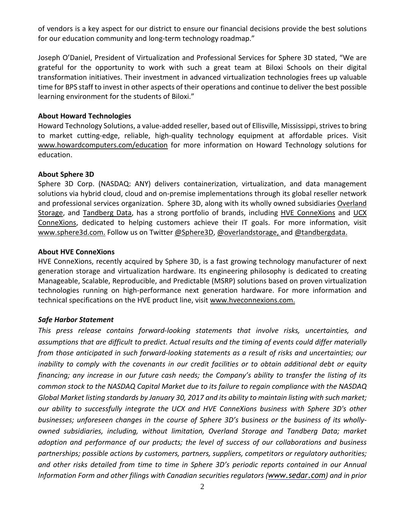of vendors is a key aspect for our district to ensure our financial decisions provide the best solutions for our education community and long-term technology roadmap."

Joseph O'Daniel, President of Virtualization and Professional Services for Sphere 3D stated, "We are grateful for the opportunity to work with such a great team at Biloxi Schools on their digital transformation initiatives. Their investment in advanced virtualization technologies frees up valuable time for BPS staff to invest in other aspects of their operations and continue to deliver the best possible learning environment for the students of Biloxi."

#### **About Howard Technologies**

Howard Technology Solutions, a value-added reseller, based out of Ellisville, Mississippi, strives to bring to market cutting-edge, reliable, high-quality technology equipment at affordable prices. Visit [www.howardcomputers.com/education](http://www.howardcomputers.com/education) for more information on Howard Technology solutions for education.

#### **About Sphere 3D**

Sphere 3D Corp. (NASDAQ: ANY) delivers containerization, virtualization, and data management solutions via hybrid cloud, cloud and on-premise implementations through its global reseller network and professional services organization. Sphere 3D, along with its wholly owned subsidiaries [Overland](http://www.overlandstorage.com/) [Storage,](http://www.overlandstorage.com/) and [Tandberg](http://www.tandbergdata.com/us/) Data, has a strong portfolio of brands, including HVE [ConneXions](http://www.hveconnexions.com/) and [UCX](http://www.ucxs.net/) [ConneXions,](http://www.ucxs.net/) dedicated to helping customers achieve their IT goals. For more information, visit [www.sphere3d.com.](http://www.sphere3d.com/) Follow us on Twitter [@Sphere3D,](https://twitter.com/Sphere3D?ref_src=twsrc%5Etfw) [@overlandstorage,](https://twitter.com/OverlandStorage) and [@tandbergdata.](https://twitter.com/@tandbergdata)

#### **About HVE ConneXions**

HVE ConneXions, recently acquired by Sphere 3D, is a fast growing technology manufacturer of next generation storage and virtualization hardware. Its engineering philosophy is dedicated to creating Manageable, Scalable, Reproducible, and Predictable (MSRP) solutions based on proven virtualization technologies running on high-performance next generation hardware. For more information and technical specifications on the HVE product line, visit [www.hveconnexions.com.](http://www.hveconnexions.com/)

### *Safe Harbor Statement*

*This press release contains forward-looking statements that involve risks, uncertainties, and assumptions that are difficult to predict. Actual results and the timing of events could differ materially from those anticipated in such forward-looking statements as a result of risks and uncertainties; our inability to comply with the covenants in our credit facilities or to obtain additional debt or equity financing; any increase in our future cash needs; the Company's ability to transfer the listing of its common stock to the NASDAQ Capital Market due to its failure to regain compliance with the NASDAQ Global Market listing standards by January 30, 2017 and its ability to maintain listing with such market; our ability to successfully integrate the UCX and HVE ConneXions business with Sphere 3D's other businesses; unforeseen changes in the course of Sphere 3D's business or the business of its whollyowned subsidiaries, including, without limitation, Overland Storage and Tandberg Data; market adoption and performance of our products; the level of success of our collaborations and business partnerships; possible actions by customers, partners, suppliers, competitors or regulatory authorities; and other risks detailed from time to time in Sphere 3D's periodic reports contained in our Annual Information Form and other filings with Canadian securities regulators ([www.sedar.com](http://www.sedar.com/)) and in prior*